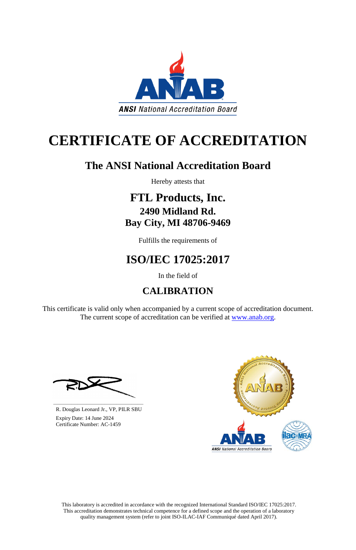This laboratory is accredited in accordance with the recognized International Standard ISO/IEC 17025:2017. This accreditation demonstrates technical competence for a defined scope and the operation of a laboratory quality management system (refer to joint ISO-ILAC-IAF Communiqué dated April 2017).

This certificate is valid only when accompanied by a current scope of accreditation document. The current scope of accreditation can be verified at [www.anab.org.](http://www.anab.org/)







# **CERTIFICATE OF ACCREDITATION**

### **The ANSI National Accreditation Board**

Hereby attests that

### **FTL Products, Inc. 2490 Midland Rd. Bay City, MI 48706-9469**

Fulfills the requirements of

## **ISO/IEC 17025:2017**

In the field of

### **CALIBRATION**

**\_\_\_\_\_\_\_\_\_\_\_\_\_\_\_\_\_\_\_\_\_\_\_\_\_\_\_\_\_\_** R. Douglas Leonard Jr., VP, PILR SBU

 Expiry Date: 14 June 2024 Certificate Number: AC-1459